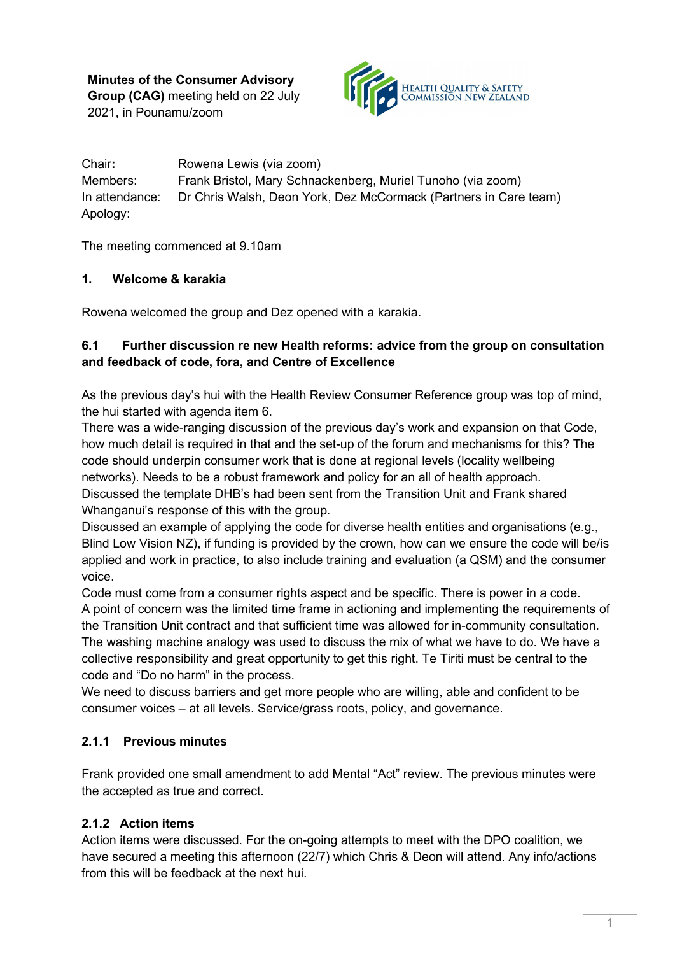

Chair**:** Rowena Lewis (via zoom) Members: Frank Bristol, Mary Schnackenberg, Muriel Tunoho (via zoom) In attendance: Dr Chris Walsh, Deon York, Dez McCormack (Partners in Care team) Apology:

The meeting commenced at 9.10am

# **1. Welcome & karakia**

Rowena welcomed the group and Dez opened with a karakia.

# **6.1 Further discussion re new Health reforms: advice from the group on consultation and feedback of code, fora, and Centre of Excellence**

As the previous day's hui with the Health Review Consumer Reference group was top of mind, the hui started with agenda item 6.

There was a wide-ranging discussion of the previous day's work and expansion on that Code, how much detail is required in that and the set-up of the forum and mechanisms for this? The code should underpin consumer work that is done at regional levels (locality wellbeing networks). Needs to be a robust framework and policy for an all of health approach. Discussed the template DHB's had been sent from the Transition Unit and Frank shared Whanganui's response of this with the group.

Discussed an example of applying the code for diverse health entities and organisations (e.g., Blind Low Vision NZ), if funding is provided by the crown, how can we ensure the code will be/is applied and work in practice, to also include training and evaluation (a QSM) and the consumer voice.

Code must come from a consumer rights aspect and be specific. There is power in a code. A point of concern was the limited time frame in actioning and implementing the requirements of the Transition Unit contract and that sufficient time was allowed for in-community consultation. The washing machine analogy was used to discuss the mix of what we have to do. We have a collective responsibility and great opportunity to get this right. Te Tiriti must be central to the code and "Do no harm" in the process.

We need to discuss barriers and get more people who are willing, able and confident to be consumer voices – at all levels. Service/grass roots, policy, and governance.

# **2.1.1 Previous minutes**

Frank provided one small amendment to add Mental "Act" review. The previous minutes were the accepted as true and correct.

# **2.1.2 Action items**

Action items were discussed. For the on-going attempts to meet with the DPO coalition, we have secured a meeting this afternoon (22/7) which Chris & Deon will attend. Any info/actions from this will be feedback at the next hui.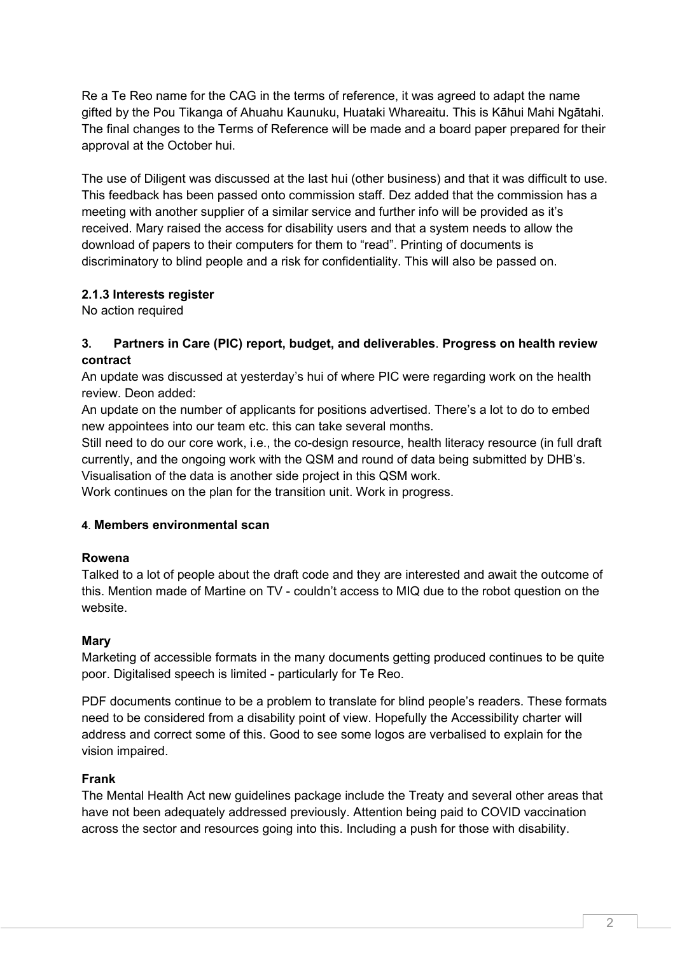Re a Te Reo name for the CAG in the terms of reference, it was agreed to adapt the name gifted by the Pou Tikanga of Ahuahu Kaunuku, Huataki Whareaitu. This is Kāhui Mahi Ngātahi. The final changes to the Terms of Reference will be made and a board paper prepared for their approval at the October hui.

The use of Diligent was discussed at the last hui (other business) and that it was difficult to use. This feedback has been passed onto commission staff. Dez added that the commission has a meeting with another supplier of a similar service and further info will be provided as it's received. Mary raised the access for disability users and that a system needs to allow the download of papers to their computers for them to "read". Printing of documents is discriminatory to blind people and a risk for confidentiality. This will also be passed on.

### **2.1.3 Interests register**

No action required

### **3. Partners in Care (PIC) report, budget, and deliverables**. **Progress on health review contract**

An update was discussed at yesterday's hui of where PIC were regarding work on the health review. Deon added:

An update on the number of applicants for positions advertised. There's a lot to do to embed new appointees into our team etc. this can take several months.

Still need to do our core work, i.e., the co-design resource, health literacy resource (in full draft currently, and the ongoing work with the QSM and round of data being submitted by DHB's. Visualisation of the data is another side project in this QSM work.

Work continues on the plan for the transition unit. Work in progress.

# **4**. **Members environmental scan**

#### **Rowena**

Talked to a lot of people about the draft code and they are interested and await the outcome of this. Mention made of Martine on TV - couldn't access to MIQ due to the robot question on the website.

#### **Mary**

Marketing of accessible formats in the many documents getting produced continues to be quite poor. Digitalised speech is limited - particularly for Te Reo.

PDF documents continue to be a problem to translate for blind people's readers. These formats need to be considered from a disability point of view. Hopefully the Accessibility charter will address and correct some of this. Good to see some logos are verbalised to explain for the vision impaired.

# **Frank**

The Mental Health Act new guidelines package include the Treaty and several other areas that have not been adequately addressed previously. Attention being paid to COVID vaccination across the sector and resources going into this. Including a push for those with disability.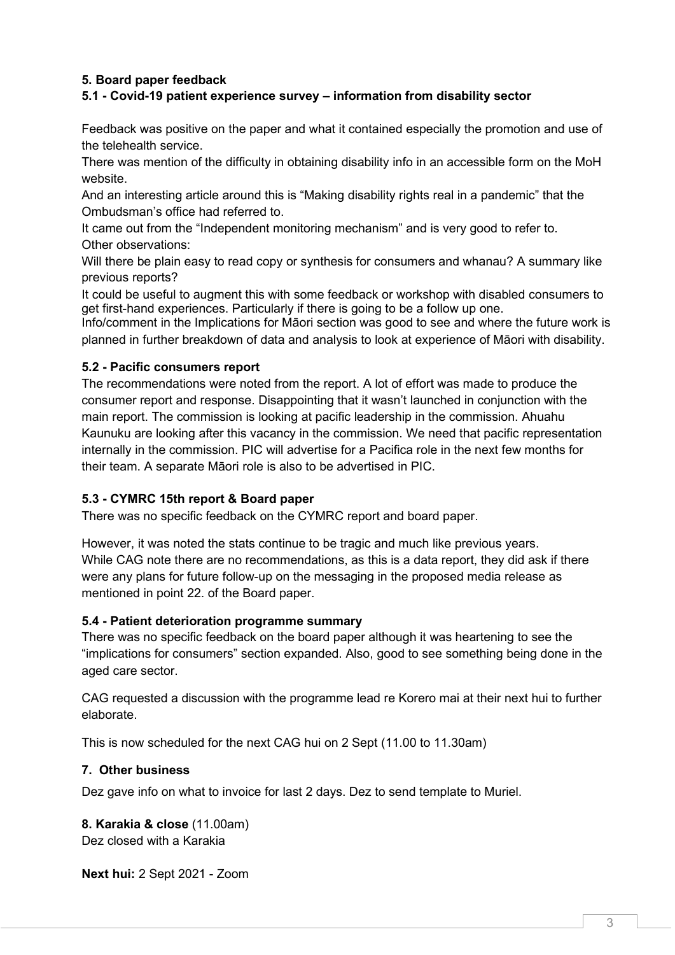### **5. Board paper feedback**

#### **5.1 - Covid-19 patient experience survey – information from disability sector**

Feedback was positive on the paper and what it contained especially the promotion and use of the telehealth service.

There was mention of the difficulty in obtaining disability info in an accessible form on the MoH website.

And an interesting article around this is "Making disability rights real in a pandemic" that the Ombudsman's office had referred to.

It came out from the "Independent monitoring mechanism" and is very good to refer to. Other observations:

Will there be plain easy to read copy or synthesis for consumers and whanau? A summary like previous reports?

It could be useful to augment this with some feedback or workshop with disabled consumers to get first-hand experiences. Particularly if there is going to be a follow up one.

Info/comment in the Implications for Māori section was good to see and where the future work is planned in further breakdown of data and analysis to look at experience of Māori with disability.

#### **5.2 - Pacific consumers report**

The recommendations were noted from the report. A lot of effort was made to produce the consumer report and response. Disappointing that it wasn't launched in conjunction with the main report. The commission is looking at pacific leadership in the commission. Ahuahu Kaunuku are looking after this vacancy in the commission. We need that pacific representation internally in the commission. PIC will advertise for a Pacifica role in the next few months for their team. A separate Māori role is also to be advertised in PIC.

#### **5.3 - CYMRC 15th report & Board paper**

There was no specific feedback on the CYMRC report and board paper.

However, it was noted the stats continue to be tragic and much like previous years. While CAG note there are no recommendations, as this is a data report, they did ask if there were any plans for future follow-up on the messaging in the proposed media release as mentioned in point 22. of the Board paper.

#### **5.4 - Patient deterioration programme summary**

There was no specific feedback on the board paper although it was heartening to see the "implications for consumers" section expanded. Also, good to see something being done in the aged care sector.

CAG requested a discussion with the programme lead re Korero mai at their next hui to further elaborate.

This is now scheduled for the next CAG hui on 2 Sept (11.00 to 11.30am)

#### **7. Other business**

Dez gave info on what to invoice for last 2 days. Dez to send template to Muriel.

**8. Karakia & close** (11.00am) Dez closed with a Karakia

**Next hui:** 2 Sept 2021 - Zoom